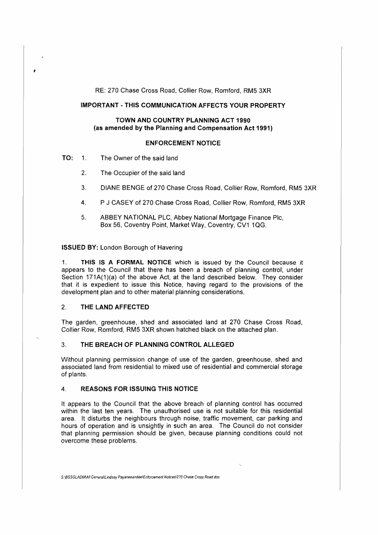RE: 270 Chase Cross Road, Collier Row, Romford, RM5 3XR

# **IMPORTANT-THIS COMMUNICATION AFFECTS YOUR PROPERTY**

# **TOWN AND COUNTRY PLANNING ACT 1990 (as amended by the Planning and Compensation Act 1991)**

## **ENFORCEMENT NOTICE**

- TO: 1. The Owner of the said land
	- 2. The Occupier of the said land
	- 3. DIANE BENGE of 270 Chase Cross Road, Collier Row, Romford, RM5 3XR
	- 4. P J CASEY of 270 Chase Cross Road, Collier Row, Romford, RM5 3XR
	- 5. ABBEY NATIONAL PLC, Abbey National Mortgage Finance Pie, Box 56, Coventry Point, Market Way, Coventry, CV1 1QG.

**ISSUED BY:** London Borough of Havering

1. **THIS IS A FORMAL NOTICE** which is issued by the Council because it appears to the Council that there has been a breach of planning control, under Section 171A(1)(a) of the above Act, at the land described below. They consider that it is expedient to issue this Notice, having regard to the provisions of the development plan and to other material planning considerations.

## 2. **THE LAND AFFECTED**

The garden, greenhouse, shed and associated land at 270 Chase Cross Road, Collier Row, Romford, RM5 3XR shown hatched black on the attached plan.

# 3. **THE BREACH OF PLANNING CONTROL ALLEGED**

Without planning permission change of use of the garden, greenhouse, shed and associated land from residential to mixed use of residential and commercial storage of plants.

# **4. REASONS FOR ISSUING THIS NOTICE**

It appears to the Council that the above breach of planning control has occurred within the last ten years. The unauthorised use is not suitable for this residential area. It disturbs the neighbours through noise, traffic movement, car parking and hours of operation and is unsightly in such an area. The Council do not consider that planning permission should be given, because planning conditions could not overcome these problems.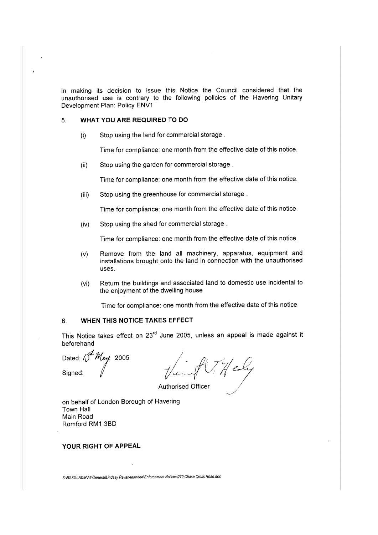In making its decision to issue this Notice the Council considered that the unauthorised use is contrary to the following policies of the Havering Unitary Development Plan: Policy ENV1

#### 5. **WHAT YOU ARE REQUIRED TO DO**

(i) Stop using the land for commercial storage .

Time for compliance: one month from the effective date of this notice.

(ii) Stop using the garden for commercial storage .

Time for compliance: one month from the effective **date** of this notice.

(iii) Stop using the greenhouse for commercial storage .

Time for compliance: one month from the effective date of this notice.

(iv) Stop using the shed for commercial storage .

Time for compliance: one month from the effective date of this notice.

- (v) Remove from the land all machinery, apparatus, equipment and installations brought onto the land in connection with the unauthorised uses.
- (vi) Return the buildings and associated land to domestic use incidental to the enjoyment of the dwelling house

Time for compliance: one month from the effective date of this notice

# 6. **WHEN THIS NOTICE TAKES EFFECT**

This Notice takes effect on 23<sup>rd</sup> June 2005, unless an appeal is made against it beforehand

Dated:  $\iint^{\mathcal{J}} M_{e\psi}$  2005

Signed: p -//www.fl//*/leader* 

Authorised Officer

on behalf of London Borough of Havering Town Hall Main Road Romford RM1 3BD

# **YOUR RIGHT OF APPEAL**

\$:\BSSGLADM\A/1 GeneraN..indsay Payaneeandee\Enforcement Nolices\270 Chase Cross Road.doc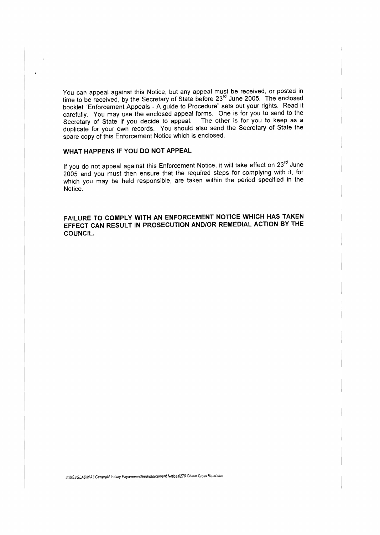You can appeal against this Notice, but any appeal must be received, or posted in time to be received, by the Secretary of State before 23<sup>rd</sup> June 2005. The enclosed booklet "Enforcement Appeals - **A** guide to Procedure" sets out your rights. Read it carefully. You may use the enclosed appeal forms. One is for you to send to the Secretary of State **if** you decide to appeal. The other is for you to keep as a duplicate for your own records. You should also send the Secretary of State the spare copy of this Enforcement Notice which is enclosed.

## **WHAT HAPPENS IF YOU DO NOT APPEAL**

If you do not appeal against this Enforcement Notice, it will take effect on  $23<sup>rd</sup>$  June 2005 and you must then ensure that the required steps for complying with it, for which you may be held responsible, are taken within the period specified in the Notice.

**FAILURE TO COMPLY WITH AN ENFORCEMENT NOTICE WHICH HAS TAKEN EFFECT CAN RESULT IN PROSECUTION AND/OR REMEDIAL ACTION BY THE COUNCIL.**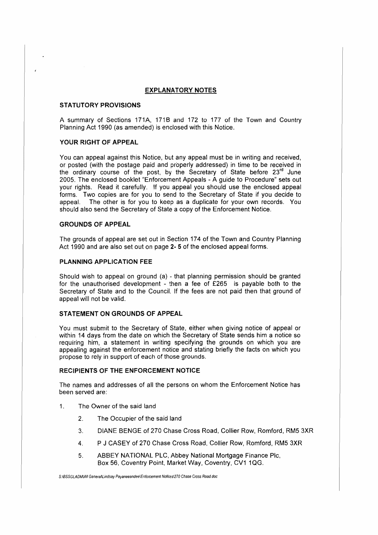#### **EXPLANATORY NOTES**

#### **STATUTORY PROVISIONS**

A summary of Sections 171A, 1718 and 172 to 177 of the Town and Country Planning Act 1990 (as amended) is enclosed with this Notice.

## **YOUR RIGHT OF APPEAL**

You can appeal against this Notice, but any appeal must be in writing and received, or posted (with the postage paid and properly addressed) in time to be received in the ordinary course of the post, by the Secretary of State before 23<sup>rd</sup> June 2005. The enclosed booklet "Enforcement Appeals - A guide to Procedure" sets out your rights. Read it carefully. If you appeal you should use the enclosed appeal forms. Two copies are for you to send to the Secretary of State if you decide to appeal. The other is for you to keep as a duplicate for your own records. You should also send the Secretary of State a copy of the Enforcement Notice.

# **GROUNDS OF APPEAL**

The grounds of appeal are set out in Section 174 of the Town and Country Planning Act 1990 and are also set out on page **2- 5** of the enclosed appeal forms.

# **PLANNING APPLICATION FEE**

Should wish to appeal on ground (a) - that planning permission should be granted for the unauthorised development - then a fee of £265 is payable both to the Secretary of State and to the Council. If the fees are not paid then that ground of appeal will not be valid.

## **STATEMENT ON GROUNDS OF APPEAL**

You must submit to the Secretary of State, either when giving notice of appeal or within 14 days from the date on which the Secretary of State sends him a notice so requiring him, a statement in writing specifying the grounds on which you are appealing against the enforcement notice and stating briefly the facts on which you propose to rely in support of each of those grounds.

#### **RECIPIENTS OF THE ENFORCEMENT NOTICE**

The names and addresses of all the persons on whom the Enforcement Notice has been served are:

- 1. The Owner of the said land
	- 2. The Occupier of the said land
	- 3. DIANE BENGE of 270 Chase Cross Road, Collier Row, Romford, RM5 3XR
	- 4. P J CASEY of 270 Chase Cross Road, Collier Row, Romford, RM5 3XR
	- 5. ABBEY NATIONAL PLC, Abbey National Mortgage Finance Pie, Box 56, Coventry Point, Market Way, Coventry, CV1 1QG.